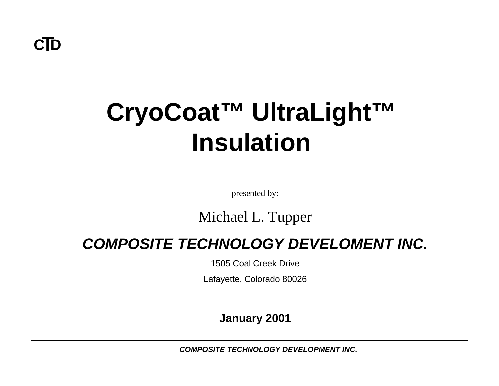**CTD**

# **CryoCoat™ UltraLight™ Insulation**

presented by:

#### Michael L. Tupper

#### *COMPOSITE TECHNOLOGY DEVELOMENT INC.*

1505 Coal Creek Drive

Lafayette, Colorado 80026

#### **January 2001**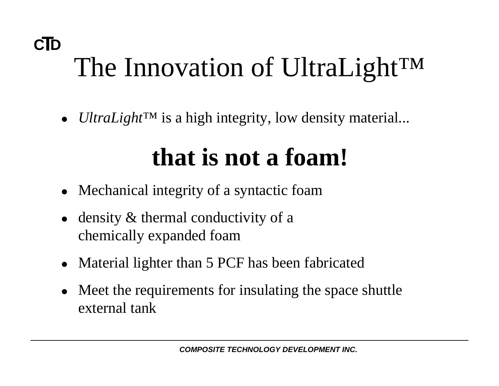### **CTD** The Innovation of UltraLight<sup>™</sup>

• *UltraLight*™ is a high integrity, low density material...

# **that is not a foam!**

- Mechanical integrity of a syntactic foam
- density  $&$  thermal conductivity of a chemically expanded foam
- Material lighter than 5 PCF has been fabricated
- Meet the requirements for insulating the space shuttle external tank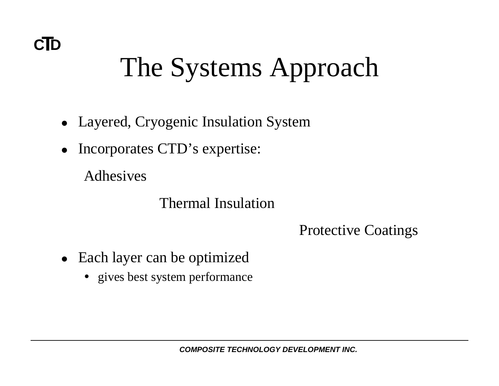# The Systems Approach

- Layered, Cryogenic Insulation System
- $\bullet$ Incorporates CTD's expertise:

Adhesives

#### Thermal Insulation

Protective Coatings

- Each layer can be optimized
	- gives best system performance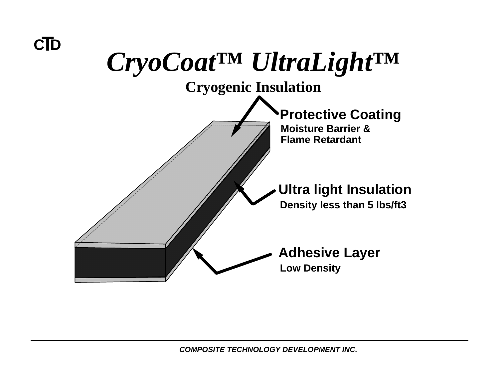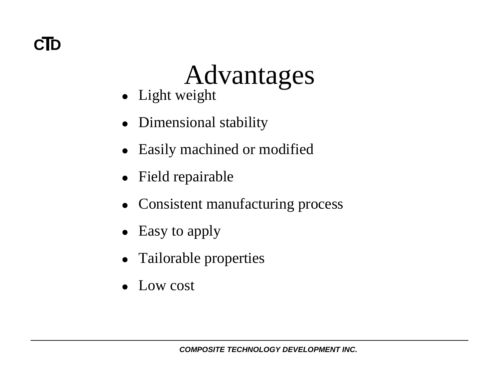#### **CTD**

### Advantages

- $\bullet$  Light weight
- Dimensional stability
- $\bullet$ Easily machined or modified
- $\bullet$ Field repairable
- $\bullet$ Consistent manufacturing process
- $\bullet$ Easy to apply
- $\bullet$ Tailorable properties
- $\bullet$ Low cost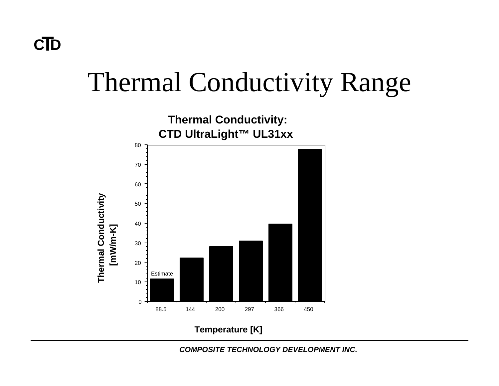#### **CTD**

### Thermal Conductivity Range



**Temperature [K]**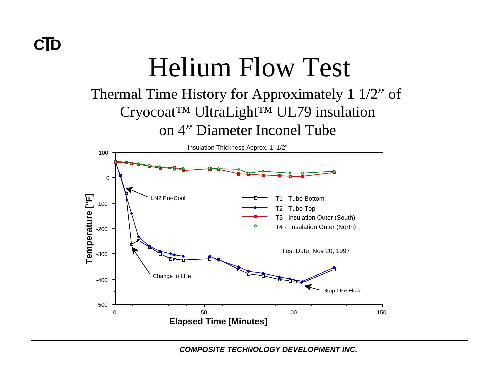# Helium Flow Test

#### Thermal Time History for Approximately 1 1/2" of Cryocoat™ UltraLight™ UL79 insulation on 4" Diameter Inconel Tube

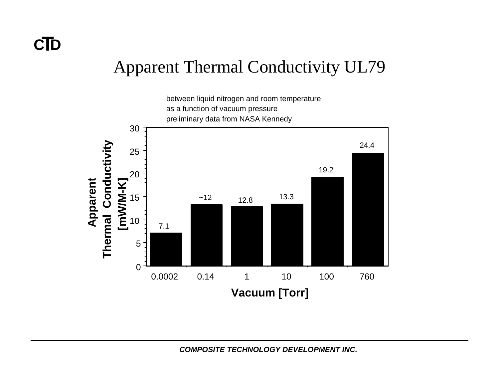#### Apparent Thermal Conductivity UL79

between liquid nitrogen and room temperature as a function of vacuum pressure preliminary data from NASA Kennedy

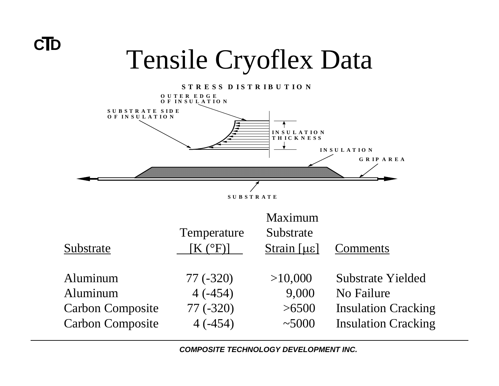

# **CTD** Tensile Cryoflex Data

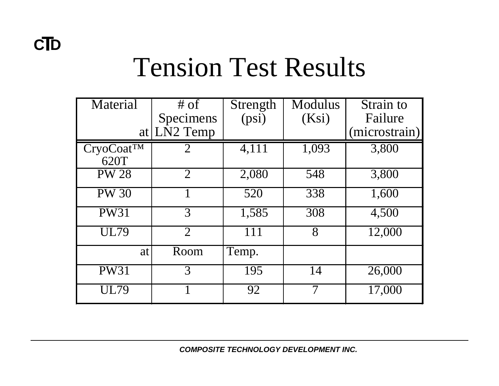### Tension Test Results

| Material               | $#$ of         | Strength           | <b>Modulus</b> | Strain to     |
|------------------------|----------------|--------------------|----------------|---------------|
|                        | Specimens      | (psi)              | (Ksi)          | Failure       |
|                        | at $LN2$ Temp  |                    |                | (microstrain) |
| CryoCoat <sup>TM</sup> | $\overline{2}$ | $\overline{4,111}$ | 1,093          | 3,800         |
| 620T                   |                |                    |                |               |
| <b>PW 28</b>           | $\overline{2}$ | 2,080              | 548            | 3,800         |
| <b>PW 30</b>           |                | 520                | 338            | 1,600         |
| <b>PW31</b>            | 3              | 1,585              | 308            | 4,500         |
| <b>UL79</b>            | $\overline{2}$ | 111                | 8              | 12,000        |
| at                     | Room           | Temp.              |                |               |
| <b>PW31</b>            | 3              | 195                | 14             | 26,000        |
| <b>UL79</b>            |                | 92                 | 7              | 17,000        |